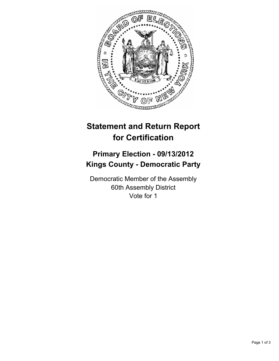

## **Statement and Return Report for Certification**

## **Primary Election - 09/13/2012 Kings County - Democratic Party**

Democratic Member of the Assembly 60th Assembly District Vote for 1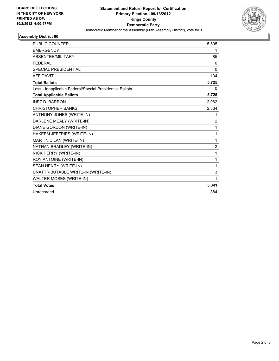

## **Assembly District 60**

| <b>PUBLIC COUNTER</b>                                    | 5,505          |
|----------------------------------------------------------|----------------|
| <b>EMERGENCY</b>                                         | 1              |
| ABSENTEE/MILITARY                                        | 85             |
| <b>FEDERAL</b>                                           | $\mathbf{0}$   |
| SPECIAL PRESIDENTIAL                                     | 0              |
| <b>AFFIDAVIT</b>                                         | 134            |
| <b>Total Ballots</b>                                     | 5,725          |
| Less - Inapplicable Federal/Special Presidential Ballots | 0              |
| <b>Total Applicable Ballots</b>                          | 5,725          |
| <b>INEZ D. BARRON</b>                                    | 2,962          |
| <b>CHRISTOPHER BANKS</b>                                 | 2,364          |
| ANTHONY JONES (WRITE-IN)                                 | 1              |
| DARLENE MEALY (WRITE-IN)                                 | $\overline{2}$ |
| DIANE GORDON (WRITE-IN)                                  | 1              |
| HAKEEM JEFFRIES (WRITE-IN)                               | 1              |
| MARTIN DILAN (WRITE-IN)                                  | 1              |
| NATHAN BRADLEY (WRITE-IN)                                | $\overline{2}$ |
| NICK PERRY (WRITE-IN)                                    | 1              |
| ROY ANTOINE (WRITE-IN)                                   | 1              |
| SEAN HENRY (WRITE-IN)                                    | 1              |
| UNATTRIBUTABLE WRITE-IN (WRITE-IN)                       | 3              |
| WALTER MOSES (WRITE-IN)                                  | 1              |
| <b>Total Votes</b>                                       | 5,341          |
| Unrecorded                                               | 384            |